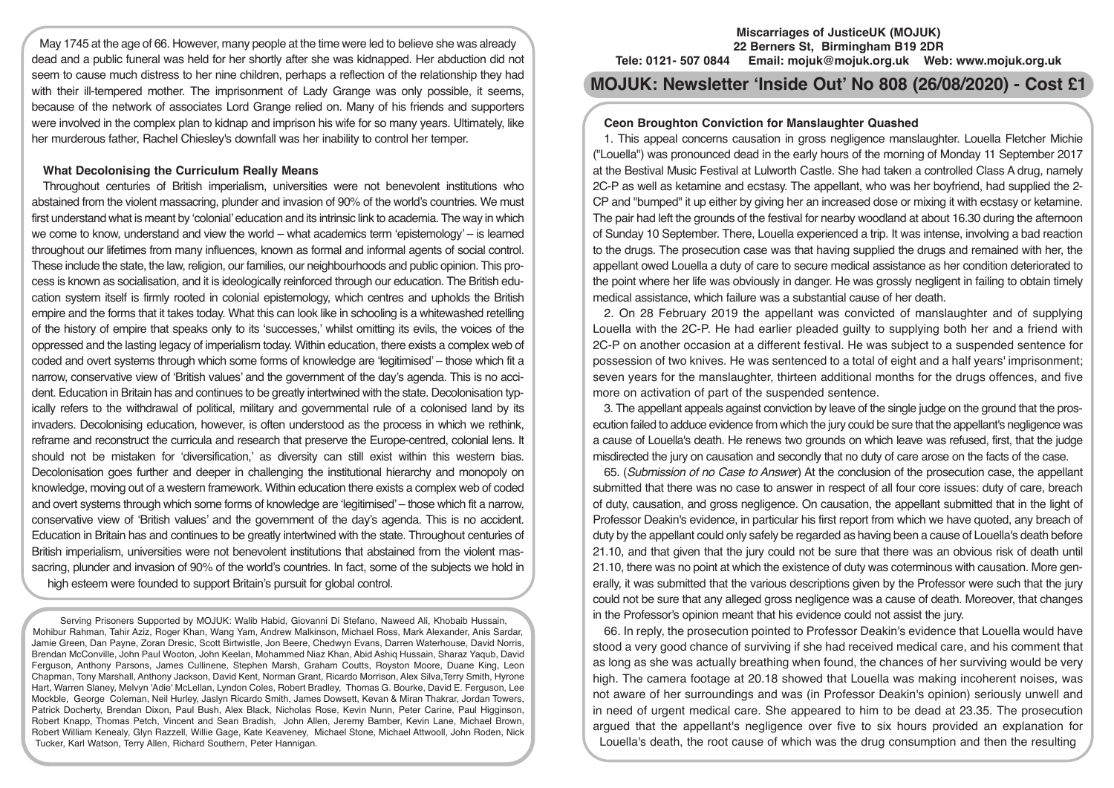May 1745 at the age of 66. However, many people at the time were led to believe she was already dead and a public funeral was held for her shortly after she was kidnapped. Her abduction did not seem to cause much distress to her nine children, perhaps a reflection of the relationship they had with their ill-tempered mother. The imprisonment of Lady Grange was only possible, it seems, because of the network of associates Lord Grange relied on. Many of his friends and supporters were involved in the complex plan to kidnap and imprison his wife for so many years. Ultimately, like her murderous father, Rachel Chiesley's downfall was her inability to control her temper.

## **What Decolonising the Curriculum Really Means**

Throughout centuries of British imperialism, universities were not benevolent institutions who abstained from the violent massacring, plunder and invasion of 90% of the world's countries. We must first understand what is meant by 'colonial' education and its intrinsic link to academia. The way in which we come to know, understand and view the world – what academics term 'epistemology' – is learned throughout our lifetimes from many influences, known as formal and informal agents of social control. These include the state, the law, religion, our families, our neighbourhoods and public opinion. This process is known as socialisation, and it is ideologically reinforced through our education. The British education system itself is firmly rooted in colonial epistemology, which centres and upholds the British empire and the forms that it takes today. What this can look like in schooling is a whitewashed retelling of the history of empire that speaks only to its 'successes,' whilst omitting its evils, the voices of the oppressed and the lasting legacy of imperialism today. Within education, there exists a complex web of coded and overt systems through which some forms of knowledge are 'legitimised' – those which fit a narrow, conservative view of 'British values' and the government of the day's agenda. This is no accident. Education in Britain has and continues to be greatly intertwined with the state. Decolonisation typically refers to the withdrawal of political, military and governmental rule of a colonised land by its invaders. Decolonising education, however, is often understood as the process in which we rethink, reframe and reconstruct the curricula and research that preserve the Europe-centred, colonial lens. It should not be mistaken for 'diversification,' as diversity can still exist within this western bias. Decolonisation goes further and deeper in challenging the institutional hierarchy and monopoly on knowledge, moving out of a western framework. Within education there exists a complex web of coded and overt systems through which some forms of knowledge are 'legitimised' – those which fit a narrow, conservative view of 'British values' and the government of the day's agenda. This is no accident. Education in Britain has and continues to be greatly intertwined with the state. Throughout centuries of British imperialism, universities were not benevolent institutions that abstained from the violent massacring, plunder and invasion of 90% of the world's countries. In fact, some of the subjects we hold in high esteem were founded to support Britain's pursuit for global control.

Serving Prisoners Supported by MOJUK: Walib Habid, Giovanni Di Stefano, Naweed Ali, Khobaib Hussain, Mohibur Rahman, Tahir Aziz, Roger Khan, Wang Yam, Andrew Malkinson, Michael Ross, Mark Alexander, Anis Sardar, Jamie Green, Dan Payne, Zoran Dresic, Scott Birtwistle, Jon Beere, Chedwyn Evans, Darren Waterhouse, David Norris, Brendan McConville, John Paul Wooton, John Keelan, Mohammed Niaz Khan, Abid Ashiq Hussain, Sharaz Yaqub, David Ferguson, Anthony Parsons, James Cullinene, Stephen Marsh, Graham Coutts, Royston Moore, Duane King, Leon Chapman, Tony Marshall, Anthony Jackson, David Kent, Norman Grant, Ricardo Morrison, Alex Silva,Terry Smith, Hyrone Hart, Warren Slaney, Melvyn 'Adie' McLellan, Lyndon Coles, Robert Bradley, Thomas G. Bourke, David E. Ferguson, Lee Mockble, George Coleman, Neil Hurley, Jaslyn Ricardo Smith, James Dowsett, Kevan & Miran Thakrar, Jordan Towers, Patrick Docherty, Brendan Dixon, Paul Bush, Alex Black, Nicholas Rose, Kevin Nunn, Peter Carine, Paul Higginson, Robert Knapp, Thomas Petch, Vincent and Sean Bradish, John Allen, Jeremy Bamber, Kevin Lane, Michael Brown, Robert William Kenealy, Glyn Razzell, Willie Gage, Kate Keaveney, Michael Stone, Michael Attwooll, John Roden, Nick Tucker, Karl Watson, Terry Allen, Richard Southern, Peter Hannigan.

#### **Miscarriages of JusticeUK (MOJUK) 22 Berners St, Birmingham B19 2DR**

**Tele: 0121- 507 0844 Email: mojuk@mojuk.org.uk Web: www.mojuk.org.uk**

# **MOJUK: Newsletter 'Inside Out' No 808 (26/08/2020) - Cost £1**

# **Ceon Broughton Conviction for Manslaughter Quashed**

1. This appeal concerns causation in gross negligence manslaughter. Louella Fletcher Michie ("Louella") was pronounced dead in the early hours of the morning of Monday 11 September 2017 at the Bestival Music Festival at Lulworth Castle. She had taken a controlled Class A drug, namely 2C-P as well as ketamine and ecstasy. The appellant, who was her boyfriend, had supplied the 2- CP and "bumped" it up either by giving her an increased dose or mixing it with ecstasy or ketamine. The pair had left the grounds of the festival for nearby woodland at about 16.30 during the afternoon of Sunday 10 September. There, Louella experienced a trip. It was intense, involving a bad reaction to the drugs. The prosecution case was that having supplied the drugs and remained with her, the appellant owed Louella a duty of care to secure medical assistance as her condition deteriorated to the point where her life was obviously in danger. He was grossly negligent in failing to obtain timely medical assistance, which failure was a substantial cause of her death.

2. On 28 February 2019 the appellant was convicted of manslaughter and of supplying Louella with the 2C-P. He had earlier pleaded guilty to supplying both her and a friend with 2C-P on another occasion at a different festival. He was subject to a suspended sentence for possession of two knives. He was sentenced to a total of eight and a half years' imprisonment; seven years for the manslaughter, thirteen additional months for the drugs offences, and five more on activation of part of the suspended sentence.

3. The appellant appeals against conviction by leave of the single judge on the ground that the prosecution failed to adduce evidence from which the jury could be sure that the appellant's negligence was a cause of Louella's death. He renews two grounds on which leave was refused, first, that the judge misdirected the jury on causation and secondly that no duty of care arose on the facts of the case.

65. (*Submission of no Case to Answe*r) At the conclusion of the prosecution case, the appellant submitted that there was no case to answer in respect of all four core issues: duty of care, breach of duty, causation, and gross negligence. On causation, the appellant submitted that in the light of Professor Deakin's evidence, in particular his first report from which we have quoted, any breach of duty by the appellant could only safely be regarded as having been a cause of Louella's death before 21.10, and that given that the jury could not be sure that there was an obvious risk of death until 21.10, there was no point at which the existence of duty was coterminous with causation. More generally, it was submitted that the various descriptions given by the Professor were such that the jury could not be sure that any alleged gross negligence was a cause of death. Moreover, that changes in the Professor's opinion meant that his evidence could not assist the jury.

66. In reply, the prosecution pointed to Professor Deakin's evidence that Louella would have stood a very good chance of surviving if she had received medical care, and his comment that as long as she was actually breathing when found, the chances of her surviving would be very high. The camera footage at 20.18 showed that Louella was making incoherent noises, was not aware of her surroundings and was (in Professor Deakin's opinion) seriously unwell and in need of urgent medical care. She appeared to him to be dead at 23.35. The prosecution argued that the appellant's negligence over five to six hours provided an explanation for Louella's death, the root cause of which was the drug consumption and then the resulting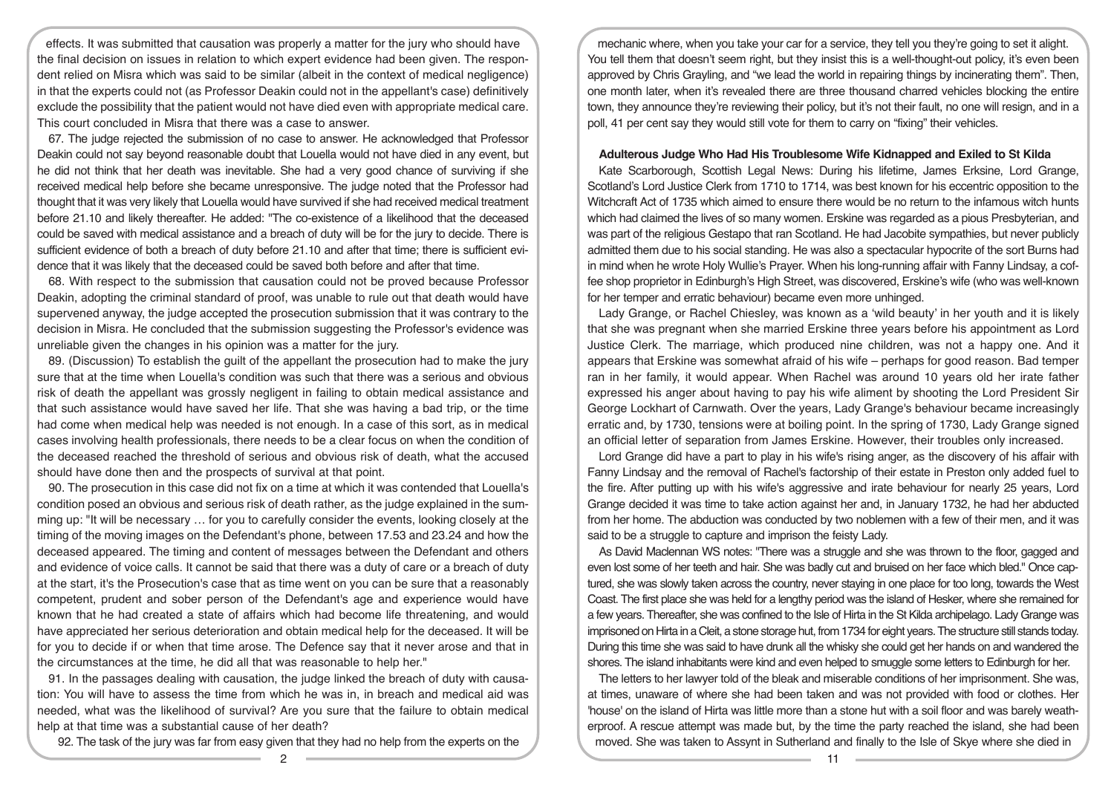effects. It was submitted that causation was properly a matter for the jury who should have the final decision on issues in relation to which expert evidence had been given. The respondent relied on Misra which was said to be similar (albeit in the context of medical negligence) in that the experts could not (as Professor Deakin could not in the appellant's case) definitively exclude the possibility that the patient would not have died even with appropriate medical care. This court concluded in Misra that there was a case to answer.

67. The judge rejected the submission of no case to answer. He acknowledged that Professor Deakin could not say beyond reasonable doubt that Louella would not have died in any event, but he did not think that her death was inevitable. She had a very good chance of surviving if she received medical help before she became unresponsive. The judge noted that the Professor had thought that it was very likely that Louella would have survived if she had received medical treatment before 21.10 and likely thereafter. He added: "The co-existence of a likelihood that the deceased could be saved with medical assistance and a breach of duty will be for the jury to decide. There is sufficient evidence of both a breach of duty before 21.10 and after that time; there is sufficient evidence that it was likely that the deceased could be saved both before and after that time.

68. With respect to the submission that causation could not be proved because Professor Deakin, adopting the criminal standard of proof, was unable to rule out that death would have supervened anyway, the judge accepted the prosecution submission that it was contrary to the decision in Misra. He concluded that the submission suggesting the Professor's evidence was unreliable given the changes in his opinion was a matter for the jury.

89. (Discussion) To establish the guilt of the appellant the prosecution had to make the jury sure that at the time when Louella's condition was such that there was a serious and obvious risk of death the appellant was grossly negligent in failing to obtain medical assistance and that such assistance would have saved her life. That she was having a bad trip, or the time had come when medical help was needed is not enough. In a case of this sort, as in medical cases involving health professionals, there needs to be a clear focus on when the condition of the deceased reached the threshold of serious and obvious risk of death, what the accused should have done then and the prospects of survival at that point.

90. The prosecution in this case did not fix on a time at which it was contended that Louella's condition posed an obvious and serious risk of death rather, as the judge explained in the summing up: "It will be necessary … for you to carefully consider the events, looking closely at the timing of the moving images on the Defendant's phone, between 17.53 and 23.24 and how the deceased appeared. The timing and content of messages between the Defendant and others and evidence of voice calls. It cannot be said that there was a duty of care or a breach of duty at the start, it's the Prosecution's case that as time went on you can be sure that a reasonably competent, prudent and sober person of the Defendant's age and experience would have known that he had created a state of affairs which had become life threatening, and would have appreciated her serious deterioration and obtain medical help for the deceased. It will be for you to decide if or when that time arose. The Defence say that it never arose and that in the circumstances at the time, he did all that was reasonable to help her."

91. In the passages dealing with causation, the judge linked the breach of duty with causation: You will have to assess the time from which he was in, in breach and medical aid was needed, what was the likelihood of survival? Are you sure that the failure to obtain medical help at that time was a substantial cause of her death?

92. The task of the jury was far from easy given that they had no help from the experts on the

mechanic where, when you take your car for a service, they tell you they're going to set it alight. You tell them that doesn't seem right, but they insist this is a well-thought-out policy, it's even been approved by Chris Grayling, and "we lead the world in repairing things by incinerating them". Then, one month later, when it's revealed there are three thousand charred vehicles blocking the entire town, they announce they're reviewing their policy, but it's not their fault, no one will resign, and in a poll, 41 per cent say they would still vote for them to carry on "fixing" their vehicles.

## **Adulterous Judge Who Had His Troublesome Wife Kidnapped and Exiled to St Kilda**

Kate Scarborough, Scottish Legal News: During his lifetime, James Erksine, Lord Grange, Scotland's Lord Justice Clerk from 1710 to 1714, was best known for his eccentric opposition to the Witchcraft Act of 1735 which aimed to ensure there would be no return to the infamous witch hunts which had claimed the lives of so many women. Erskine was regarded as a pious Presbyterian, and was part of the religious Gestapo that ran Scotland. He had Jacobite sympathies, but never publicly admitted them due to his social standing. He was also a spectacular hypocrite of the sort Burns had in mind when he wrote Holy Wullie's Prayer. When his long-running affair with Fanny Lindsay, a coffee shop proprietor in Edinburgh's High Street, was discovered, Erskine's wife (who was well-known for her temper and erratic behaviour) became even more unhinged.

Lady Grange, or Rachel Chiesley, was known as a 'wild beauty' in her youth and it is likely that she was pregnant when she married Erskine three years before his appointment as Lord Justice Clerk. The marriage, which produced nine children, was not a happy one. And it appears that Erskine was somewhat afraid of his wife – perhaps for good reason. Bad temper ran in her family, it would appear. When Rachel was around 10 years old her irate father expressed his anger about having to pay his wife aliment by shooting the Lord President Sir George Lockhart of Carnwath. Over the years, Lady Grange's behaviour became increasingly erratic and, by 1730, tensions were at boiling point. In the spring of 1730, Lady Grange signed an official letter of separation from James Erskine. However, their troubles only increased.

Lord Grange did have a part to play in his wife's rising anger, as the discovery of his affair with Fanny Lindsay and the removal of Rachel's factorship of their estate in Preston only added fuel to the fire. After putting up with his wife's aggressive and irate behaviour for nearly 25 years, Lord Grange decided it was time to take action against her and, in January 1732, he had her abducted from her home. The abduction was conducted by two noblemen with a few of their men, and it was said to be a struggle to capture and imprison the feisty Lady.

As David Maclennan WS notes: "There was a struggle and she was thrown to the floor, gagged and even lost some of her teeth and hair. She was badly cut and bruised on her face which bled." Once captured, she was slowly taken across the country, never staying in one place for too long, towards the West Coast. The first place she was held for a lengthy period was the island of Hesker, where she remained for a few years. Thereafter, she was confined to the Isle of Hirta in the St Kilda archipelago. Lady Grange was imprisoned on Hirta in a Cleit, a stone storage hut, from 1734 for eight years. The structure still stands today. During this time she was said to have drunk all the whisky she could get her hands on and wandered the shores. The island inhabitants were kind and even helped to smuggle some letters to Edinburgh for her.

The letters to her lawyer told of the bleak and miserable conditions of her imprisonment. She was, at times, unaware of where she had been taken and was not provided with food or clothes. Her 'house' on the island of Hirta was little more than a stone hut with a soil floor and was barely weatherproof. A rescue attempt was made but, by the time the party reached the island, she had been moved. She was taken to Assynt in Sutherland and finally to the Isle of Skye where she died in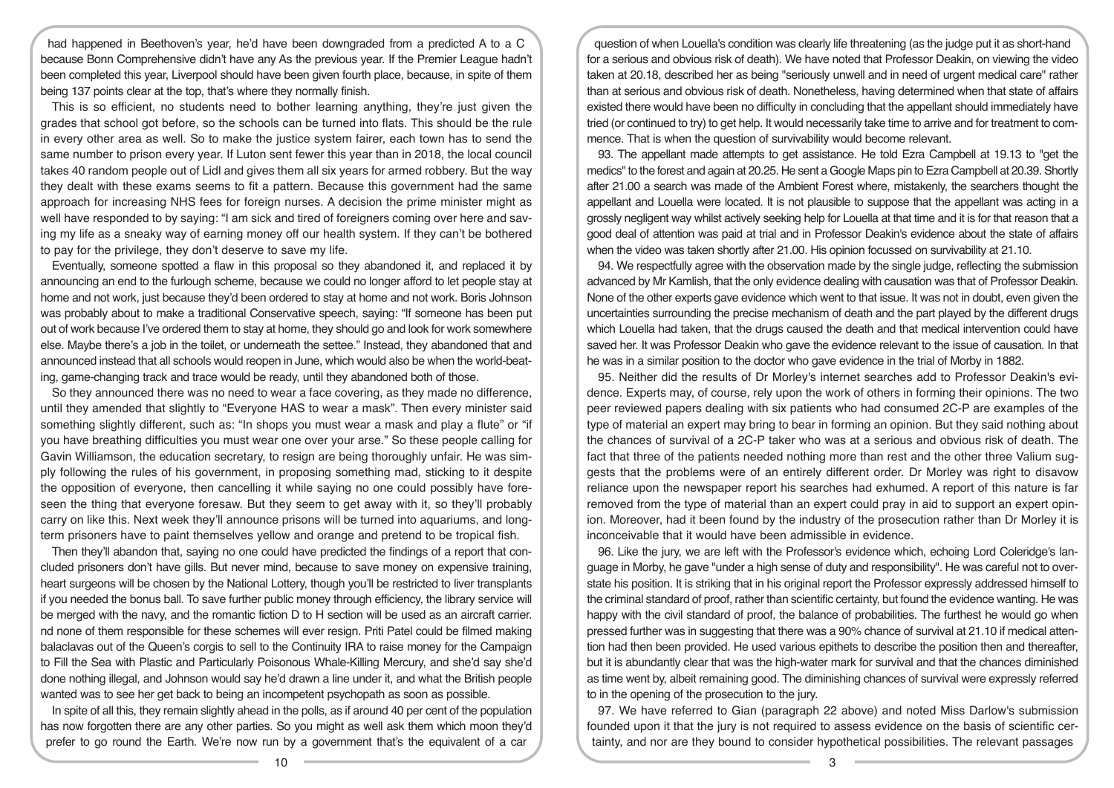had happened in Beethoven's year, he'd have been downgraded from a predicted A to a C because Bonn Comprehensive didn't have any As the previous year. If the Premier League hadn't been completed this year, Liverpool should have been given fourth place, because, in spite of them being 137 points clear at the top, that's where they normally finish.

This is so efficient, no students need to bother learning anything, they're just given the grades that school got before, so the schools can be turned into flats. This should be the rule in every other area as well. So to make the justice system fairer, each town has to send the same number to prison every year. If Luton sent fewer this year than in 2018, the local council takes 40 random people out of Lidl and gives them all six years for armed robbery. But the way they dealt with these exams seems to fit a pattern. Because this government had the same approach for increasing NHS fees for foreign nurses. A decision the prime minister might as well have responded to by saying: "I am sick and tired of foreigners coming over here and saving my life as a sneaky way of earning money off our health system. If they can't be bothered to pay for the privilege, they don't deserve to save my life.

Eventually, someone spotted a flaw in this proposal so they abandoned it, and replaced it by announcing an end to the furlough scheme, because we could no longer afford to let people stay at home and not work, just because they'd been ordered to stay at home and not work. Boris Johnson was probably about to make a traditional Conservative speech, saying: "If someone has been put out of work because I've ordered them to stay at home, they should go and look for work somewhere else. Maybe there's a job in the toilet, or underneath the settee." Instead, they abandoned that and announced instead that all schools would reopen in June, which would also be when the world-beating, game-changing track and trace would be ready, until they abandoned both of those.

So they announced there was no need to wear a face covering, as they made no difference, until they amended that slightly to "Everyone HAS to wear a mask". Then every minister said something slightly different, such as: "In shops you must wear a mask and play a flute" or "if you have breathing difficulties you must wear one over your arse." So these people calling for Gavin Williamson, the education secretary, to resign are being thoroughly unfair. He was simply following the rules of his government, in proposing something mad, sticking to it despite the opposition of everyone, then cancelling it while saying no one could possibly have foreseen the thing that everyone foresaw. But they seem to get away with it, so they'll probably carry on like this. Next week they'll announce prisons will be turned into aquariums, and longterm prisoners have to paint themselves yellow and orange and pretend to be tropical fish.

Then they'll abandon that, saying no one could have predicted the findings of a report that concluded prisoners don't have gills. But never mind, because to save money on expensive training, heart surgeons will be chosen by the National Lottery, though you'll be restricted to liver transplants if you needed the bonus ball. To save further public money through efficiency, the library service will be merged with the navy, and the romantic fiction D to H section will be used as an aircraft carrier. nd none of them responsible for these schemes will ever resign. Priti Patel could be filmed making balaclavas out of the Queen's corgis to sell to the Continuity IRA to raise money for the Campaign to Fill the Sea with Plastic and Particularly Poisonous Whale-Killing Mercury, and she'd say she'd done nothing illegal, and Johnson would say he'd drawn a line under it, and what the British people wanted was to see her get back to being an incompetent psychopath as soon as possible.

In spite of all this, they remain slightly ahead in the polls, as if around 40 per cent of the population has now forgotten there are any other parties. So you might as well ask them which moon they'd prefer to go round the Earth. We're now run by a government that's the equivalent of a car

question of when Louella's condition was clearly life threatening (as the judge put it as short-hand for a serious and obvious risk of death). We have noted that Professor Deakin, on viewing the video taken at 20.18, described her as being "seriously unwell and in need of urgent medical care" rather than at serious and obvious risk of death. Nonetheless, having determined when that state of affairs existed there would have been no difficulty in concluding that the appellant should immediately have tried (or continued to try) to get help. It would necessarily take time to arrive and for treatment to commence. That is when the question of survivability would become relevant.

93. The appellant made attempts to get assistance. He told Ezra Campbell at 19.13 to "get the medics" to the forest and again at 20.25. He sent a Google Maps pin to Ezra Campbell at 20.39. Shortly after 21.00 a search was made of the Ambient Forest where, mistakenly, the searchers thought the appellant and Louella were located. It is not plausible to suppose that the appellant was acting in a grossly negligent way whilst actively seeking help for Louella at that time and it is for that reason that a good deal of attention was paid at trial and in Professor Deakin's evidence about the state of affairs when the video was taken shortly after 21.00. His opinion focussed on survivability at 21.10.

94. We respectfully agree with the observation made by the single judge, reflecting the submission advanced by Mr Kamlish, that the only evidence dealing with causation was that of Professor Deakin. None of the other experts gave evidence which went to that issue. It was not in doubt, even given the uncertainties surrounding the precise mechanism of death and the part played by the different drugs which Louella had taken, that the drugs caused the death and that medical intervention could have saved her. It was Professor Deakin who gave the evidence relevant to the issue of causation. In that he was in a similar position to the doctor who gave evidence in the trial of Morby in 1882.

95. Neither did the results of Dr Morley's internet searches add to Professor Deakin's evidence. Experts may, of course, rely upon the work of others in forming their opinions. The two peer reviewed papers dealing with six patients who had consumed 2C-P are examples of the type of material an expert may bring to bear in forming an opinion. But they said nothing about the chances of survival of a 2C-P taker who was at a serious and obvious risk of death. The fact that three of the patients needed nothing more than rest and the other three Valium suggests that the problems were of an entirely different order. Dr Morley was right to disavow reliance upon the newspaper report his searches had exhumed. A report of this nature is far removed from the type of material than an expert could pray in aid to support an expert opinion. Moreover, had it been found by the industry of the prosecution rather than Dr Morley it is inconceivable that it would have been admissible in evidence.

96. Like the jury, we are left with the Professor's evidence which, echoing Lord Coleridge's language in Morby, he gave "under a high sense of duty and responsibility". He was careful not to overstate his position. It is striking that in his original report the Professor expressly addressed himself to the criminal standard of proof, rather than scientific certainty, but found the evidence wanting. He was happy with the civil standard of proof, the balance of probabilities. The furthest he would go when pressed further was in suggesting that there was a 90% chance of survival at 21.10 if medical attention had then been provided. He used various epithets to describe the position then and thereafter, but it is abundantly clear that was the high-water mark for survival and that the chances diminished as time went by, albeit remaining good. The diminishing chances of survival were expressly referred to in the opening of the prosecution to the jury.

97. We have referred to Gian (paragraph 22 above) and noted Miss Darlow's submission founded upon it that the jury is not required to assess evidence on the basis of scientific certainty, and nor are they bound to consider hypothetical possibilities. The relevant passages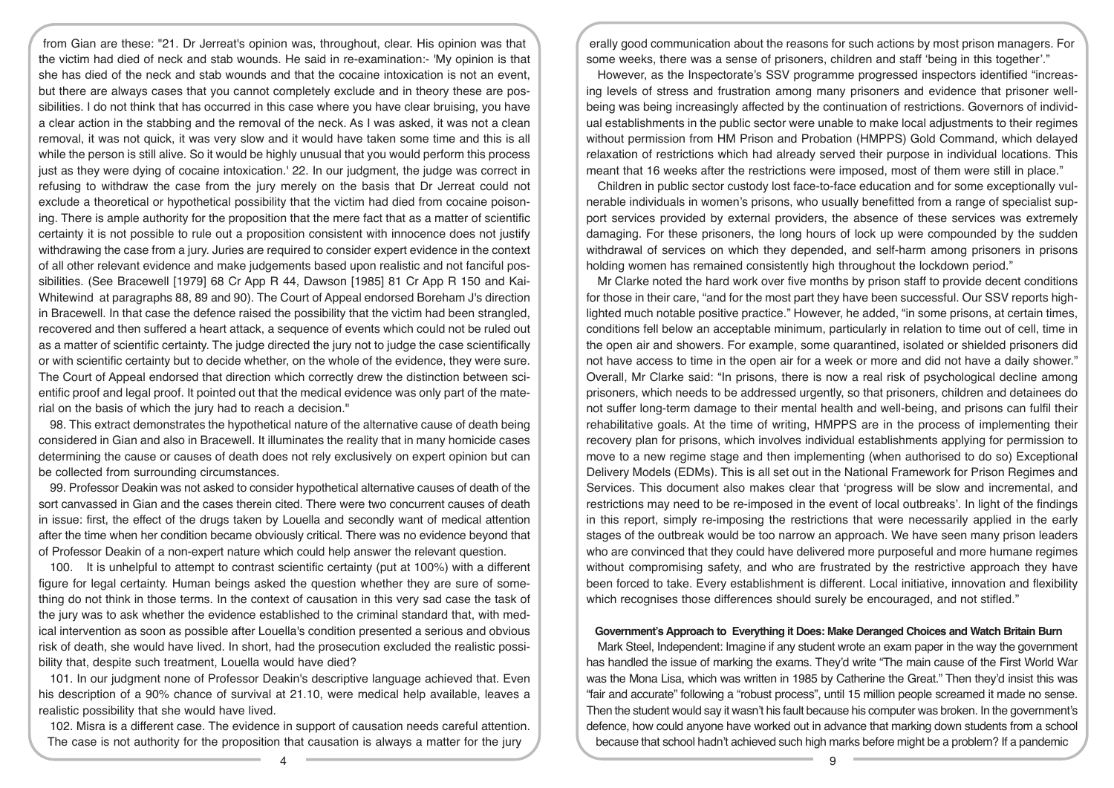from Gian are these: "21. Dr Jerreat's opinion was, throughout, clear. His opinion was that the victim had died of neck and stab wounds. He said in re-examination:- 'My opinion is that she has died of the neck and stab wounds and that the cocaine intoxication is not an event, but there are always cases that you cannot completely exclude and in theory these are possibilities. I do not think that has occurred in this case where you have clear bruising, you have a clear action in the stabbing and the removal of the neck. As I was asked, it was not a clean removal, it was not quick, it was very slow and it would have taken some time and this is all while the person is still alive. So it would be highly unusual that you would perform this process just as they were dying of cocaine intoxication.' 22. In our judgment, the judge was correct in refusing to withdraw the case from the jury merely on the basis that Dr Jerreat could not exclude a theoretical or hypothetical possibility that the victim had died from cocaine poisoning. There is ample authority for the proposition that the mere fact that as a matter of scientific certainty it is not possible to rule out a proposition consistent with innocence does not justify withdrawing the case from a jury. Juries are required to consider expert evidence in the context of all other relevant evidence and make judgements based upon realistic and not fanciful possibilities. (See Bracewell [1979] 68 Cr App R 44, Dawson [1985] 81 Cr App R 150 and Kai-Whitewind at paragraphs 88, 89 and 90). The Court of Appeal endorsed Boreham J's direction in Bracewell. In that case the defence raised the possibility that the victim had been strangled, recovered and then suffered a heart attack, a sequence of events which could not be ruled out as a matter of scientific certainty. The judge directed the jury not to judge the case scientifically or with scientific certainty but to decide whether, on the whole of the evidence, they were sure. The Court of Appeal endorsed that direction which correctly drew the distinction between scientific proof and legal proof. It pointed out that the medical evidence was only part of the material on the basis of which the jury had to reach a decision."

98. This extract demonstrates the hypothetical nature of the alternative cause of death being considered in Gian and also in Bracewell. It illuminates the reality that in many homicide cases determining the cause or causes of death does not rely exclusively on expert opinion but can be collected from surrounding circumstances.

99. Professor Deakin was not asked to consider hypothetical alternative causes of death of the sort canvassed in Gian and the cases therein cited. There were two concurrent causes of death in issue: first, the effect of the drugs taken by Louella and secondly want of medical attention after the time when her condition became obviously critical. There was no evidence beyond that of Professor Deakin of a non-expert nature which could help answer the relevant question.

100. It is unhelpful to attempt to contrast scientific certainty (put at 100%) with a different figure for legal certainty. Human beings asked the question whether they are sure of something do not think in those terms. In the context of causation in this very sad case the task of the jury was to ask whether the evidence established to the criminal standard that, with medical intervention as soon as possible after Louella's condition presented a serious and obvious risk of death, she would have lived. In short, had the prosecution excluded the realistic possibility that, despite such treatment. Louella would have died?

101. In our judgment none of Professor Deakin's descriptive language achieved that. Even his description of a 90% chance of survival at 21.10, were medical help available, leaves a realistic possibility that she would have lived.

102. Misra is a different case. The evidence in support of causation needs careful attention. The case is not authority for the proposition that causation is always a matter for the jury

erally good communication about the reasons for such actions by most prison managers. For some weeks, there was a sense of prisoners, children and staff 'being in this together'."

However, as the Inspectorate's SSV programme progressed inspectors identified "increasing levels of stress and frustration among many prisoners and evidence that prisoner wellbeing was being increasingly affected by the continuation of restrictions. Governors of individual establishments in the public sector were unable to make local adjustments to their regimes without permission from HM Prison and Probation (HMPPS) Gold Command, which delayed relaxation of restrictions which had already served their purpose in individual locations. This meant that 16 weeks after the restrictions were imposed, most of them were still in place."

Children in public sector custody lost face-to-face education and for some exceptionally vulnerable individuals in women's prisons, who usually benefitted from a range of specialist support services provided by external providers, the absence of these services was extremely damaging. For these prisoners, the long hours of lock up were compounded by the sudden withdrawal of services on which they depended, and self-harm among prisoners in prisons holding women has remained consistently high throughout the lockdown period."

Mr Clarke noted the hard work over five months by prison staff to provide decent conditions for those in their care, "and for the most part they have been successful. Our SSV reports highlighted much notable positive practice." However, he added, "in some prisons, at certain times, conditions fell below an acceptable minimum, particularly in relation to time out of cell, time in the open air and showers. For example, some quarantined, isolated or shielded prisoners did not have access to time in the open air for a week or more and did not have a daily shower." Overall, Mr Clarke said: "In prisons, there is now a real risk of psychological decline among prisoners, which needs to be addressed urgently, so that prisoners, children and detainees do not suffer long-term damage to their mental health and well-being, and prisons can fulfil their rehabilitative goals. At the time of writing, HMPPS are in the process of implementing their recovery plan for prisons, which involves individual establishments applying for permission to move to a new regime stage and then implementing (when authorised to do so) Exceptional Delivery Models (EDMs). This is all set out in the National Framework for Prison Regimes and Services. This document also makes clear that 'progress will be slow and incremental, and restrictions may need to be re-imposed in the event of local outbreaks'. In light of the findings in this report, simply re-imposing the restrictions that were necessarily applied in the early stages of the outbreak would be too narrow an approach. We have seen many prison leaders who are convinced that they could have delivered more purposeful and more humane regimes without compromising safety, and who are frustrated by the restrictive approach they have been forced to take. Every establishment is different. Local initiative, innovation and flexibility which recognises those differences should surely be encouraged, and not stifled."

## **Government's Approach to Everything it Does: Make Deranged Choices and Watch Britain Burn**

Mark Steel, Independent: Imagine if any student wrote an exam paper in the way the government has handled the issue of marking the exams. They'd write "The main cause of the First World War was the Mona Lisa, which was written in 1985 by Catherine the Great." Then they'd insist this was "fair and accurate" following a "robust process", until 15 million people screamed it made no sense. Then the student would say it wasn't his fault because his computer was broken. In the government's defence, how could anyone have worked out in advance that marking down students from a school because that school hadn't achieved such high marks before might be a problem? If a pandemic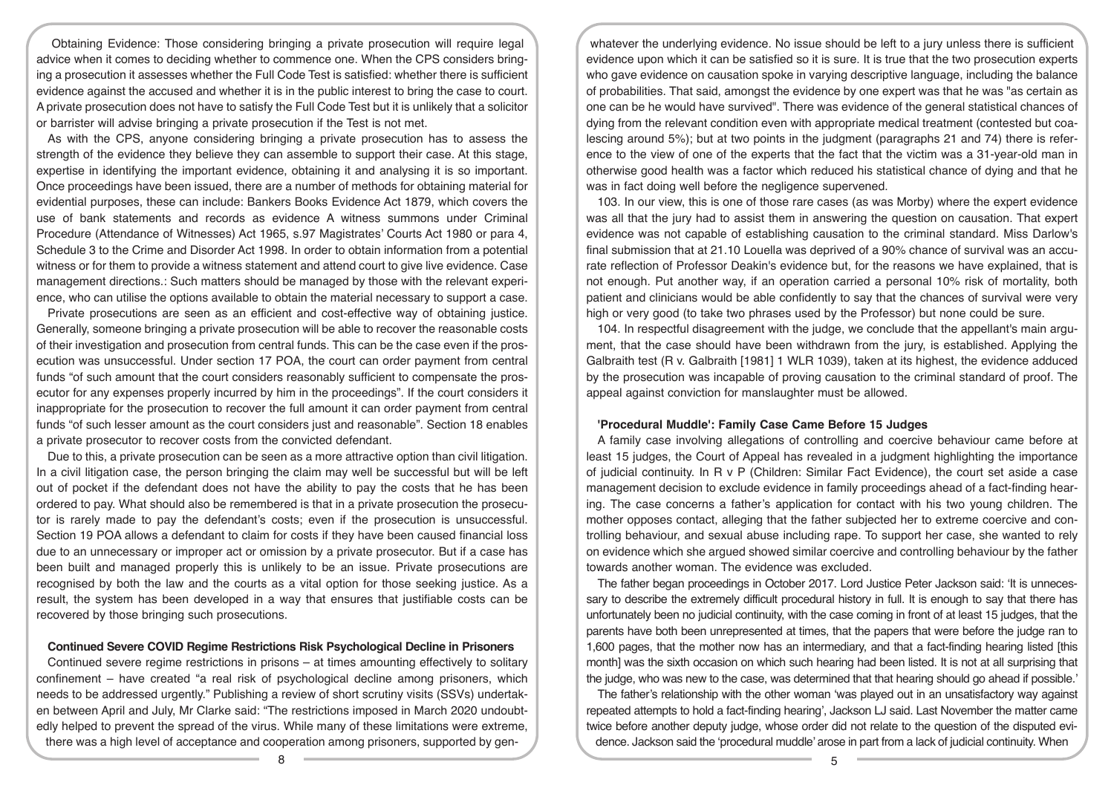Obtaining Evidence: Those considering bringing a private prosecution will require legal advice when it comes to deciding whether to commence one. When the CPS considers bringing a prosecution it assesses whether the Full Code Test is satisfied: whether there is sufficient evidence against the accused and whether it is in the public interest to bring the case to court. A private prosecution does not have to satisfy the Full Code Test but it is unlikely that a solicitor or barrister will advise bringing a private prosecution if the Test is not met.

As with the CPS, anyone considering bringing a private prosecution has to assess the strength of the evidence they believe they can assemble to support their case. At this stage, expertise in identifying the important evidence, obtaining it and analysing it is so important. Once proceedings have been issued, there are a number of methods for obtaining material for evidential purposes, these can include: Bankers Books Evidence Act 1879, which covers the use of bank statements and records as evidence A witness summons under Criminal Procedure (Attendance of Witnesses) Act 1965, s.97 Magistrates' Courts Act 1980 or para 4, Schedule 3 to the Crime and Disorder Act 1998. In order to obtain information from a potential witness or for them to provide a witness statement and attend court to give live evidence. Case management directions.: Such matters should be managed by those with the relevant experience, who can utilise the options available to obtain the material necessary to support a case.

Private prosecutions are seen as an efficient and cost-effective way of obtaining justice. Generally, someone bringing a private prosecution will be able to recover the reasonable costs of their investigation and prosecution from central funds. This can be the case even if the prosecution was unsuccessful. Under section 17 POA, the court can order payment from central funds "of such amount that the court considers reasonably sufficient to compensate the prosecutor for any expenses properly incurred by him in the proceedings". If the court considers it inappropriate for the prosecution to recover the full amount it can order payment from central funds "of such lesser amount as the court considers just and reasonable". Section 18 enables a private prosecutor to recover costs from the convicted defendant.

Due to this, a private prosecution can be seen as a more attractive option than civil litigation. In a civil litigation case, the person bringing the claim may well be successful but will be left out of pocket if the defendant does not have the ability to pay the costs that he has been ordered to pay. What should also be remembered is that in a private prosecution the prosecutor is rarely made to pay the defendant's costs; even if the prosecution is unsuccessful. Section 19 POA allows a defendant to claim for costs if they have been caused financial loss due to an unnecessary or improper act or omission by a private prosecutor. But if a case has been built and managed properly this is unlikely to be an issue. Private prosecutions are recognised by both the law and the courts as a vital option for those seeking justice. As a result, the system has been developed in a way that ensures that justifiable costs can be recovered by those bringing such prosecutions.

#### **Continued Severe COVID Regime Restrictions Risk Psychological Decline in Prisoners**

Continued severe regime restrictions in prisons – at times amounting effectively to solitary confinement – have created "a real risk of psychological decline among prisoners, which needs to be addressed urgently." Publishing a review of short scrutiny visits (SSVs) undertaken between April and July, Mr Clarke said: "The restrictions imposed in March 2020 undoubtedly helped to prevent the spread of the virus. While many of these limitations were extreme, there was a high level of acceptance and cooperation among prisoners, supported by gen-

whatever the underlying evidence. No issue should be left to a jury unless there is sufficient evidence upon which it can be satisfied so it is sure. It is true that the two prosecution experts who gave evidence on causation spoke in varying descriptive language, including the balance of probabilities. That said, amongst the evidence by one expert was that he was "as certain as one can be he would have survived". There was evidence of the general statistical chances of dying from the relevant condition even with appropriate medical treatment (contested but coalescing around 5%); but at two points in the judgment (paragraphs 21 and 74) there is reference to the view of one of the experts that the fact that the victim was a 31-year-old man in otherwise good health was a factor which reduced his statistical chance of dying and that he was in fact doing well before the negligence supervened.

103. In our view, this is one of those rare cases (as was Morby) where the expert evidence was all that the jury had to assist them in answering the question on causation. That expert evidence was not capable of establishing causation to the criminal standard. Miss Darlow's final submission that at 21.10 Louella was deprived of a 90% chance of survival was an accurate reflection of Professor Deakin's evidence but, for the reasons we have explained, that is not enough. Put another way, if an operation carried a personal 10% risk of mortality, both patient and clinicians would be able confidently to say that the chances of survival were very high or very good (to take two phrases used by the Professor) but none could be sure.

104. In respectful disagreement with the judge, we conclude that the appellant's main argument, that the case should have been withdrawn from the jury, is established. Applying the Galbraith test (R v. Galbraith [1981] 1 WLR 1039), taken at its highest, the evidence adduced by the prosecution was incapable of proving causation to the criminal standard of proof. The appeal against conviction for manslaughter must be allowed.

# **'Procedural Muddle': Family Case Came Before 15 Judges**

A family case involving allegations of controlling and coercive behaviour came before at least 15 judges, the Court of Appeal has revealed in a judgment highlighting the importance of judicial continuity. In R v P (Children: Similar Fact Evidence), the court set aside a case management decision to exclude evidence in family proceedings ahead of a fact-finding hearing. The case concerns a father's application for contact with his two young children. The mother opposes contact, alleging that the father subjected her to extreme coercive and controlling behaviour, and sexual abuse including rape. To support her case, she wanted to rely on evidence which she argued showed similar coercive and controlling behaviour by the father towards another woman. The evidence was excluded.

The father began proceedings in October 2017. Lord Justice Peter Jackson said: 'It is unnecessary to describe the extremely difficult procedural history in full. It is enough to say that there has unfortunately been no judicial continuity, with the case coming in front of at least 15 judges, that the parents have both been unrepresented at times, that the papers that were before the judge ran to 1,600 pages, that the mother now has an intermediary, and that a fact-finding hearing listed [this month] was the sixth occasion on which such hearing had been listed. It is not at all surprising that the judge, who was new to the case, was determined that that hearing should go ahead if possible.'

The father's relationship with the other woman 'was played out in an unsatisfactory way against repeated attempts to hold a fact-finding hearing', Jackson LJ said. Last November the matter came twice before another deputy judge, whose order did not relate to the question of the disputed evidence. Jackson said the 'procedural muddle' arose in part from a lack of judicial continuity. When